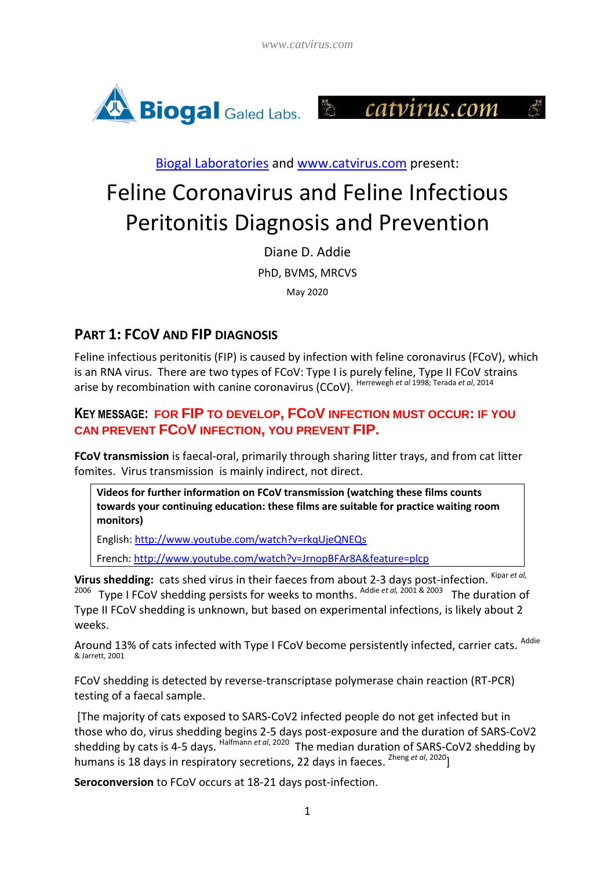



[Biogal Laboratories](http://www.biogal.com/) and [www.catvirus.com](http://www.catvirus.com/) present:

# Feline Coronavirus and Feline Infectious Peritonitis Diagnosis and Prevention

Diane D. Addie PhD, BVMS, MRCVS May 2020

## **PART 1: FCOV AND FIP DIAGNOSIS**

Feline infectious peritonitis (FIP) is caused by infection with feline coronavirus (FCoV), which is an RNA virus. There are two types of FCoV: Type I is purely feline, Type II FCoV strains arise by recombination with canine coronavirus (CCoV). Herrewegh *et al* 1998; Terada *et al*, 2014

#### **KEY MESSAGE: FOR FIP TO DEVELOP, FCOV INFECTION MUST OCCUR: IF YOU CAN PREVENT FCOV INFECTION, YOU PREVENT FIP.**

**FCoV transmission** is faecal-oral, primarily through sharing litter trays, and from cat litter fomites. Virus transmission is mainly indirect, not direct.

**Videos for further information on FCoV transmission (watching these films counts towards your continuing education: these films are suitable for practice waiting room monitors)**

English[: http://www.youtube.com/watch?v=rkqUjeQNEQs](http://www.youtube.com/watch?v=rkqUjeQNEQs)

French[: http://www.youtube.com/watch?v=JrnopBFAr8A&feature=plcp](http://www.youtube.com/watch?v=JrnopBFAr8A&feature=plcp)

Virus shedding: cats shed virus in their faeces from about 2-3 days post-infection. Kipar et al, <sup>2006</sup> Type I FCoV shedding persists for weeks to months. <sup>Addie et al, 2001 & 2003</sup> The duration of Type II FCoV shedding is unknown, but based on experimental infections, is likely about 2

weeks.

Around 13% of cats infected with Type I FCoV become persistently infected, carrier cats. Addie & Jarrett, 2001

FCoV shedding is detected by reverse-transcriptase polymerase chain reaction (RT-PCR) testing of a faecal sample.

[The majority of cats exposed to SARS-CoV2 infected people do not get infected but in those who do, virus shedding begins 2-5 days post-exposure and the duration of SARS-CoV2 shedding by cats is 4-5 days. <sup>Halfmann et al, 2020</sup> The median duration of SARS-CoV2 shedding by humans is 18 days in respiratory secretions, 22 days in faeces. Zheng *et al*, 2020]

**Seroconversion** to FCoV occurs at 18-21 days post-infection.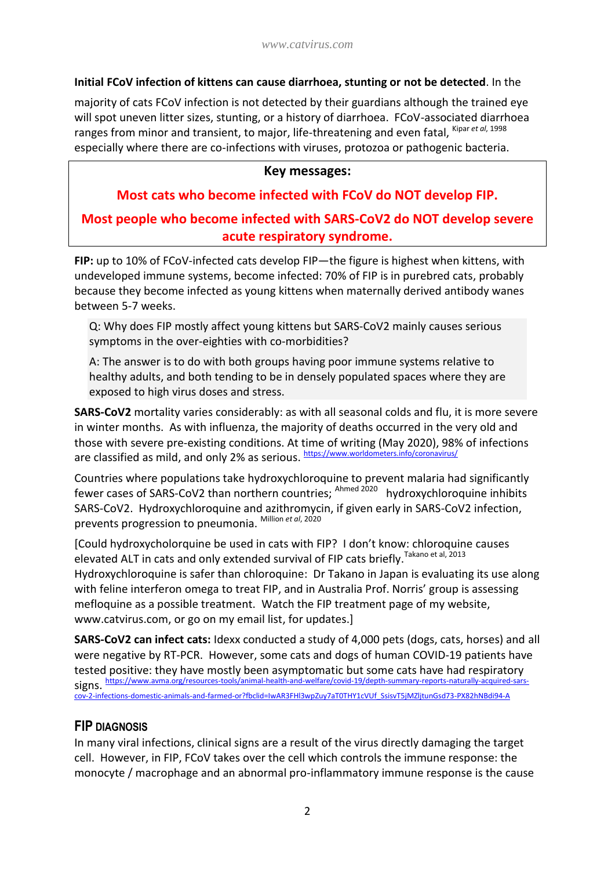#### **Initial FCoV infection of kittens can cause diarrhoea, stunting or not be detected**. In the

majority of cats FCoV infection is not detected by their guardians although the trained eye will spot uneven litter sizes, stunting, or a history of diarrhoea. FCoV-associated diarrhoea ranges from minor and transient, to major, life-threatening and even fatal, <sup>Kipar et al, 1998</sup> especially where there are co-infections with viruses, protozoa or pathogenic bacteria.

#### **Key messages:**

# **Most cats who become infected with FCoV do NOT develop FIP. Most people who become infected with SARS-CoV2 do NOT develop severe acute respiratory syndrome.**

**FIP:** up to 10% of FCoV-infected cats develop FIP—the figure is highest when kittens, with undeveloped immune systems, become infected: 70% of FIP is in purebred cats, probably because they become infected as young kittens when maternally derived antibody wanes between 5-7 weeks.

Q: Why does FIP mostly affect young kittens but SARS-CoV2 mainly causes serious symptoms in the over-eighties with co-morbidities?

A: The answer is to do with both groups having poor immune systems relative to healthy adults, and both tending to be in densely populated spaces where they are exposed to high virus doses and stress.

**SARS-CoV2** mortality varies considerably: as with all seasonal colds and flu, it is more severe in winter months. As with influenza, the majority of deaths occurred in the very old and those with severe pre-existing conditions. At time of writing (May 2020), 98% of infections are classified as mild, and only 2% as serious. https://www.worldometers.info/coronavirus/

Countries where populations take hydroxychloroquine to prevent malaria had significantly fewer cases of SARS-CoV2 than northern countries; <sup>Ahmed 2020</sup> hydroxychloroquine inhibits SARS-CoV2. Hydroxychloroquine and azithromycin, if given early in SARS-CoV2 infection, prevents progression to pneumonia. Million *et al*, 2020

[Could hydroxycholorquine be used in cats with FIP? I don't know: chloroquine causes elevated ALT in cats and only extended survival of FIP cats briefly. Takano et al, 2013 Hydroxychloroquine is safer than chloroquine: Dr Takano in Japan is evaluating its use along with feline interferon omega to treat FIP, and in Australia Prof. Norris' group is assessing mefloquine as a possible treatment. Watch the FIP treatment page of my website, www.catvirus.com, or go on my email list, for updates.]

**SARS-CoV2 can infect cats:** Idexx conducted a study of 4,000 pets (dogs, cats, horses) and all were negative by RT-PCR. However, some cats and dogs of human COVID-19 patients have tested positive: they have mostly been asymptomatic but some cats have had respiratory signs. [https://www.avma.org/resources-tools/animal-health-and-welfare/covid-19/depth-summary-reports-naturally-acquired-sars](https://www.avma.org/resources-tools/animal-health-and-welfare/covid-19/depth-summary-reports-naturally-acquired-sars-cov-2-infections-domestic-animals-and-farmed-or?fbclid=IwAR3FHl3wpZuy7aT0THY1cVUf_SsisvT5jMZljtunGsd73-PX82hNBdi94-A)estic-animals-and-farmed-or?fbclid=IwAR3FHI3wpZuy7aT0THY1cVUf\_SsisvT5jMZljtunGsd73-PX82hNBdi94-A

#### **FIP DIAGNOSIS**

In many viral infections, clinical signs are a result of the virus directly damaging the target cell. However, in FIP, FCoV takes over the cell which controls the immune response: the monocyte / macrophage and an abnormal pro-inflammatory immune response is the cause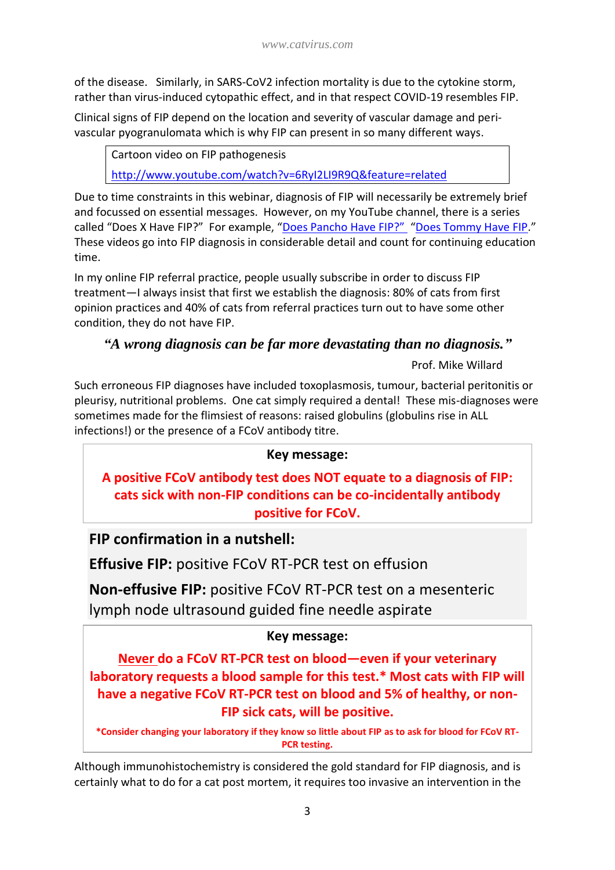of the disease. Similarly, in SARS-CoV2 infection mortality is due to the cytokine storm, rather than virus-induced cytopathic effect, and in that respect COVID-19 resembles FIP.

Clinical signs of FIP depend on the location and severity of vascular damage and perivascular pyogranulomata which is why FIP can present in so many different ways.

Cartoon video on FIP pathogenesis

<http://www.youtube.com/watch?v=6RyI2LI9R9Q&feature=related>

Due to time constraints in this webinar, diagnosis of FIP will necessarily be extremely brief and focussed on essential messages. However, on my YouTube channel, there is a series called "Does X Have FIP?" For example, ["Does Pancho Have FIP?"](https://www.youtube.com/watch?v=_JLdLQKpoyA) "[Does Tommy Have FIP](https://www.bitchute.com/video/z06chepJrPZ5/)." These videos go into FIP diagnosis in considerable detail and count for continuing education time.

In my online FIP referral practice, people usually subscribe in order to discuss FIP treatment—I always insist that first we establish the diagnosis: 80% of cats from first opinion practices and 40% of cats from referral practices turn out to have some other condition, they do not have FIP.

## *"A wrong diagnosis can be far more devastating than no diagnosis."*

Prof. Mike Willard

Such erroneous FIP diagnoses have included toxoplasmosis, tumour, bacterial peritonitis or pleurisy, nutritional problems. One cat simply required a dental! These mis-diagnoses were sometimes made for the flimsiest of reasons: raised globulins (globulins rise in ALL infections!) or the presence of a FCoV antibody titre.

## **Key message:**

**A positive FCoV antibody test does NOT equate to a diagnosis of FIP: cats sick with non-FIP conditions can be co-incidentally antibody positive for FCoV.**

# **FIP confirmation in a nutshell:**

**Effusive FIP:** positive FCoV RT-PCR test on effusion

**Non-effusive FIP:** positive FCoV RT-PCR test on a mesenteric lymph node ultrasound guided fine needle aspirate

## **Key message:**

**Never do a FCoV RT-PCR test on blood—even if your veterinary laboratory requests a blood sample for this test.\* Most cats with FIP will have a negative FCoV RT-PCR test on blood and 5% of healthy, or non-FIP sick cats, will be positive.**

**\*Consider changing your laboratory if they know so little about FIP as to ask for blood for FCoV RT-PCR testing.**

Although immunohistochemistry is considered the gold standard for FIP diagnosis, and is certainly what to do for a cat post mortem, it requires too invasive an intervention in the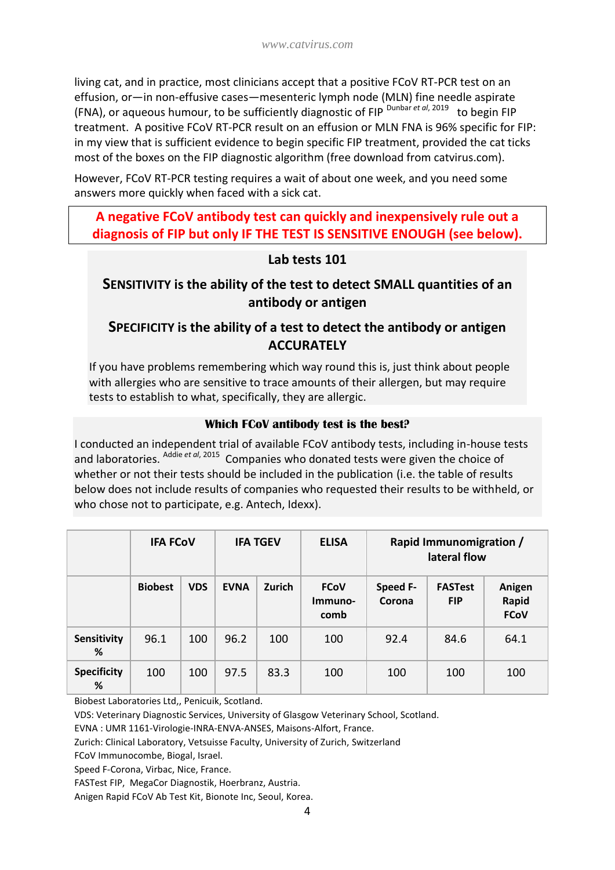living cat, and in practice, most clinicians accept that a positive FCoV RT-PCR test on an effusion, or—in non-effusive cases—mesenteric lymph node (MLN) fine needle aspirate (FNA), or aqueous humour, to be sufficiently diagnostic of FIP<sup>Dunbar et al, 2019</sup> to begin FIP treatment. A positive FCoV RT-PCR result on an effusion or MLN FNA is 96% specific for FIP: in my view that is sufficient evidence to begin specific FIP treatment, provided the cat ticks most of the boxes on the FIP diagnostic algorithm (free download from catvirus.com).

However, FCoV RT-PCR testing requires a wait of about one week, and you need some answers more quickly when faced with a sick cat.

## **A negative FCoV antibody test can quickly and inexpensively rule out a diagnosis of FIP but only IF THE TEST IS SENSITIVE ENOUGH (see below).**

#### **Lab tests 101**

## **SENSITIVITY is the ability of the test to detect SMALL quantities of an antibody or antigen**

## **SPECIFICITY is the ability of a test to detect the antibody or antigen ACCURATELY**

If you have problems remembering which way round this is, just think about people with allergies who are sensitive to trace amounts of their allergen, but may require tests to establish to what, specifically, they are allergic.

#### **Which FCoV antibody test is the best?**

I conducted an independent trial of available FCoV antibody tests, including in-house tests and laboratories. <sup>Addie et al, 2015</sup> Companies who donated tests were given the choice of whether or not their tests should be included in the publication (i.e. the table of results below does not include results of companies who requested their results to be withheld, or who chose not to participate, e.g. Antech, Idexx).

|                         | <b>IFA FCOV</b> |            | <b>IFA TGEV</b> |        | <b>ELISA</b>                   | Rapid Immunomigration /<br>lateral flow |                              |                                |
|-------------------------|-----------------|------------|-----------------|--------|--------------------------------|-----------------------------------------|------------------------------|--------------------------------|
|                         | <b>Biobest</b>  | <b>VDS</b> | <b>EVNA</b>     | Zurich | <b>FCoV</b><br>Immuno-<br>comb | Speed F-<br>Corona                      | <b>FASTest</b><br><b>FIP</b> | Anigen<br>Rapid<br><b>FCoV</b> |
| Sensitivity<br>%        | 96.1            | 100        | 96.2            | 100    | 100                            | 92.4                                    | 84.6                         | 64.1                           |
| <b>Specificity</b><br>% | 100             | 100        | 97.5            | 83.3   | 100                            | 100                                     | 100                          | 100                            |

Biobest Laboratories Ltd,, Penicuik, Scotland.

VDS: Veterinary Diagnostic Services, University of Glasgow Veterinary School, Scotland.

EVNA : UMR 1161-Virologie-INRA-ENVA-ANSES, Maisons-Alfort, France.

Zurich: Clinical Laboratory, Vetsuisse Faculty, University of Zurich, Switzerland

FCoV Immunocombe, Biogal, Israel.

Speed F-Corona, Virbac, Nice, France.

FASTest FIP, MegaCor Diagnostik, Hoerbranz, Austria.

Anigen Rapid FCoV Ab Test Kit, Bionote Inc, Seoul, Korea.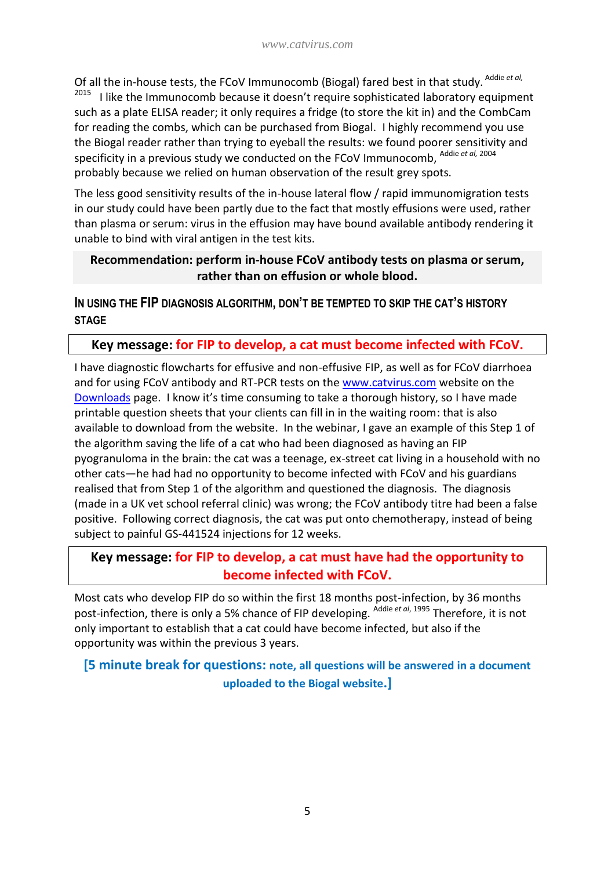Of all the in-house tests, the FCoV Immunocomb (Biogal) fared best in that study. Addie et al, 2015 I like the Immunocomb because it doesn't require sophisticated laboratory equipment such as a plate ELISA reader; it only requires a fridge (to store the kit in) and the CombCam for reading the combs, which can be purchased from Biogal. I highly recommend you use the Biogal reader rather than trying to eyeball the results: we found poorer sensitivity and specificity in a previous study we conducted on the FCoV Immunocomb, Addie *et al,* <sup>2004</sup> probably because we relied on human observation of the result grey spots.

The less good sensitivity results of the in-house lateral flow / rapid immunomigration tests in our study could have been partly due to the fact that mostly effusions were used, rather than plasma or serum: virus in the effusion may have bound available antibody rendering it unable to bind with viral antigen in the test kits.

#### **Recommendation: perform in-house FCoV antibody tests on plasma or serum, rather than on effusion or whole blood.**

**IN USING THE FIP DIAGNOSIS ALGORITHM, DON'T BE TEMPTED TO SKIP THE CAT'S HISTORY STAGE**

#### **Key message: for FIP to develop, a cat must become infected with FCoV.**

I have diagnostic flowcharts for effusive and non-effusive FIP, as well as for FCoV diarrhoea and for using FCoV antibody and RT-PCR tests on the [www.catvirus.com](http://www.catvirus.com/) website on the [Downloads](http://www.catvirus.com/downloads.html) page. I know it's time consuming to take a thorough history, so I have made printable question sheets that your clients can fill in in the waiting room: that is also available to download from the website. In the webinar, I gave an example of this Step 1 of the algorithm saving the life of a cat who had been diagnosed as having an FIP pyogranuloma in the brain: the cat was a teenage, ex-street cat living in a household with no other cats—he had had no opportunity to become infected with FCoV and his guardians realised that from Step 1 of the algorithm and questioned the diagnosis. The diagnosis (made in a UK vet school referral clinic) was wrong; the FCoV antibody titre had been a false positive. Following correct diagnosis, the cat was put onto chemotherapy, instead of being subject to painful GS-441524 injections for 12 weeks.

## **Key message: for FIP to develop, a cat must have had the opportunity to become infected with FCoV.**

Most cats who develop FIP do so within the first 18 months post-infection, by 36 months post-infection, there is only a 5% chance of FIP developing. Addie *et al*, 1995 Therefore, it is not only important to establish that a cat could have become infected, but also if the opportunity was within the previous 3 years.

## **[5 minute break for questions: note, all questions will be answered in a document uploaded to the Biogal website.]**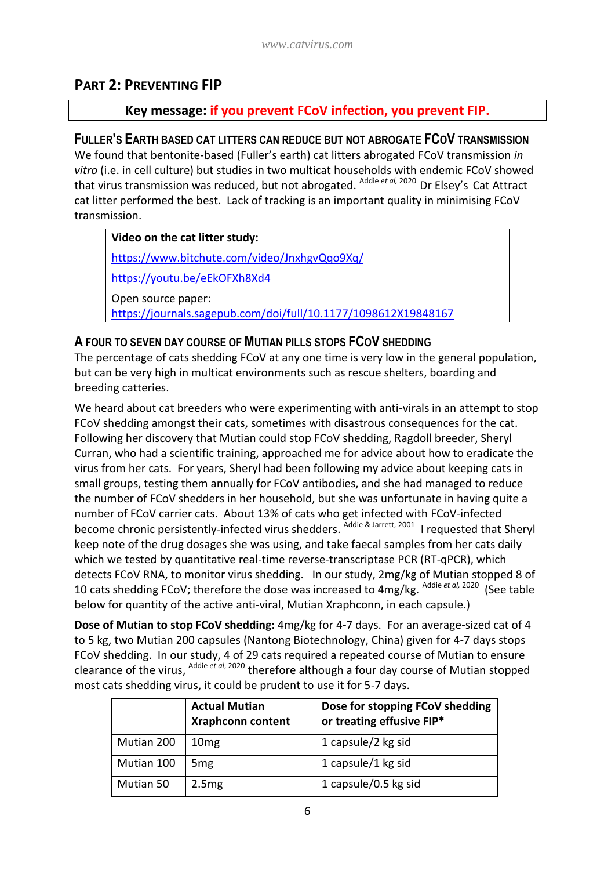## **PART 2: PREVENTING FIP**

#### **Key message: if you prevent FCoV infection, you prevent FIP.**

#### **FULLER'S EARTH BASED CAT LITTERS CAN REDUCE BUT NOT ABROGATE FCOV TRANSMISSION**

We found that bentonite-based (Fuller's earth) cat litters abrogated FCoV transmission *in vitro* (i.e. in cell culture) but studies in two multicat households with endemic FCoV showed that virus transmission was reduced, but not abrogated. Addie *et al,* 2020 Dr Elsey's Cat Attract cat litter performed the best. Lack of tracking is an important quality in minimising FCoV transmission.

#### **Video on the cat litter study:**

<https://www.bitchute.com/video/JnxhgvQqo9Xq/>

<https://youtu.be/eEkOFXh8Xd4>

Open source paper:

<https://journals.sagepub.com/doi/full/10.1177/1098612X19848167>

#### **A FOUR TO SEVEN DAY COURSE OF MUTIAN PILLS STOPS FCOV SHEDDING**

The percentage of cats shedding FCoV at any one time is very low in the general population, but can be very high in multicat environments such as rescue shelters, boarding and breeding catteries.

We heard about cat breeders who were experimenting with anti-virals in an attempt to stop FCoV shedding amongst their cats, sometimes with disastrous consequences for the cat. Following her discovery that Mutian could stop FCoV shedding, Ragdoll breeder, Sheryl Curran, who had a scientific training, approached me for advice about how to eradicate the virus from her cats. For years, Sheryl had been following my advice about keeping cats in small groups, testing them annually for FCoV antibodies, and she had managed to reduce the number of FCoV shedders in her household, but she was unfortunate in having quite a number of FCoV carrier cats. About 13% of cats who get infected with FCoV-infected become chronic persistently-infected virus shedders. <sup>Addie & Jarrett, 2001</sup> I requested that Sheryl keep note of the drug dosages she was using, and take faecal samples from her cats daily which we tested by quantitative real-time reverse-transcriptase PCR (RT-qPCR), which detects FCoV RNA, to monitor virus shedding. In our study, 2mg/kg of Mutian stopped 8 of 10 cats shedding FCoV; therefore the dose was increased to 4mg/kg. <sup>Addie et al, 2020</sup> (See table below for quantity of the active anti-viral, Mutian Xraphconn, in each capsule.)

**Dose of Mutian to stop FCoV shedding:** 4mg/kg for 4-7 days. For an average-sized cat of 4 to 5 kg, two Mutian 200 capsules (Nantong Biotechnology, China) given for 4-7 days stops FCoV shedding. In our study, 4 of 29 cats required a repeated course of Mutian to ensure clearance of the virus, <sup>Addie et al, 2020</sup> therefore although a four day course of Mutian stopped most cats shedding virus, it could be prudent to use it for 5-7 days.

|            | <b>Actual Mutian</b><br><b>Xraphconn content</b> | Dose for stopping FCoV shedding<br>or treating effusive FIP* |
|------------|--------------------------------------------------|--------------------------------------------------------------|
| Mutian 200 | 10 <sub>mg</sub>                                 | 1 capsule/2 kg sid                                           |
| Mutian 100 | 5 <sub>mg</sub>                                  | 1 capsule/1 kg sid                                           |
| Mutian 50  | 2.5mg                                            | 1 capsule/0.5 kg sid                                         |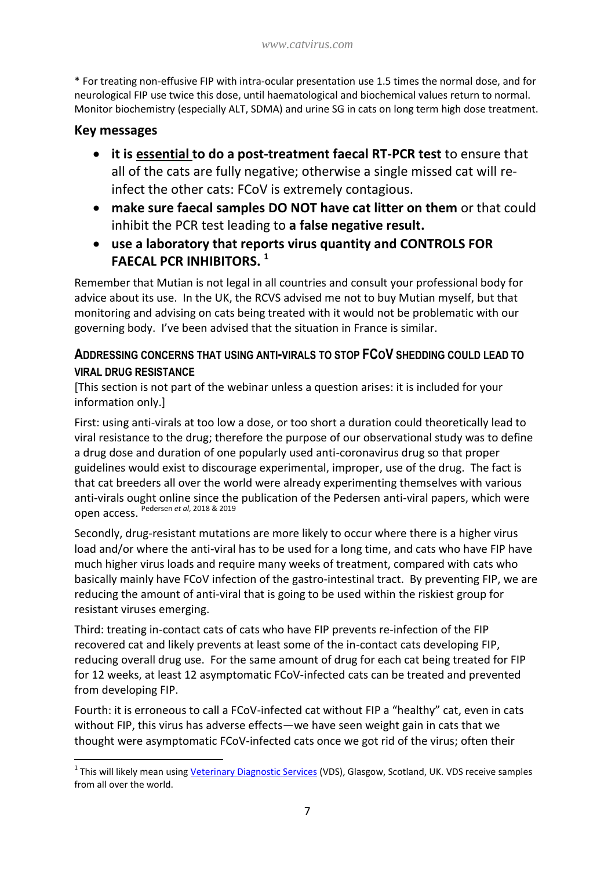\* For treating non-effusive FIP with intra-ocular presentation use 1.5 times the normal dose, and for neurological FIP use twice this dose, until haematological and biochemical values return to normal. Monitor biochemistry (especially ALT, SDMA) and urine SG in cats on long term high dose treatment.

#### **Key messages**

-

- **it is essential to do a post-treatment faecal RT-PCR test** to ensure that all of the cats are fully negative; otherwise a single missed cat will reinfect the other cats: FCoV is extremely contagious.
- **make sure faecal samples DO NOT have cat litter on them** or that could inhibit the PCR test leading to **a false negative result.**
- **use a laboratory that reports virus quantity and CONTROLS FOR FAECAL PCR INHIBITORS. 1**

Remember that Mutian is not legal in all countries and consult your professional body for advice about its use. In the UK, the RCVS advised me not to buy Mutian myself, but that monitoring and advising on cats being treated with it would not be problematic with our governing body. I've been advised that the situation in France is similar.

#### **ADDRESSING CONCERNS THAT USING ANTI-VIRALS TO STOP FCOV SHEDDING COULD LEAD TO VIRAL DRUG RESISTANCE**

[This section is not part of the webinar unless a question arises: it is included for your information only.]

First: using anti-virals at too low a dose, or too short a duration could theoretically lead to viral resistance to the drug; therefore the purpose of our observational study was to define a drug dose and duration of one popularly used anti-coronavirus drug so that proper guidelines would exist to discourage experimental, improper, use of the drug. The fact is that cat breeders all over the world were already experimenting themselves with various anti-virals ought online since the publication of the Pedersen anti-viral papers, which were open access. Pedersen *et al*, 2018 & 2019

Secondly, drug-resistant mutations are more likely to occur where there is a higher virus load and/or where the anti-viral has to be used for a long time, and cats who have FIP have much higher virus loads and require many weeks of treatment, compared with cats who basically mainly have FCoV infection of the gastro-intestinal tract. By preventing FIP, we are reducing the amount of anti-viral that is going to be used within the riskiest group for resistant viruses emerging.

Third: treating in-contact cats of cats who have FIP prevents re-infection of the FIP recovered cat and likely prevents at least some of the in-contact cats developing FIP, reducing overall drug use. For the same amount of drug for each cat being treated for FIP for 12 weeks, at least 12 asymptomatic FCoV-infected cats can be treated and prevented from developing FIP.

Fourth: it is erroneous to call a FCoV-infected cat without FIP a "healthy" cat, even in cats without FIP, this virus has adverse effects—we have seen weight gain in cats that we thought were asymptomatic FCoV-infected cats once we got rid of the virus; often their

<sup>&</sup>lt;sup>1</sup> This will likely mean using <u>Veterinary Diagnostic Services</u> (VDS), Glasgow, Scotland, UK. VDS receive samples from all over the world.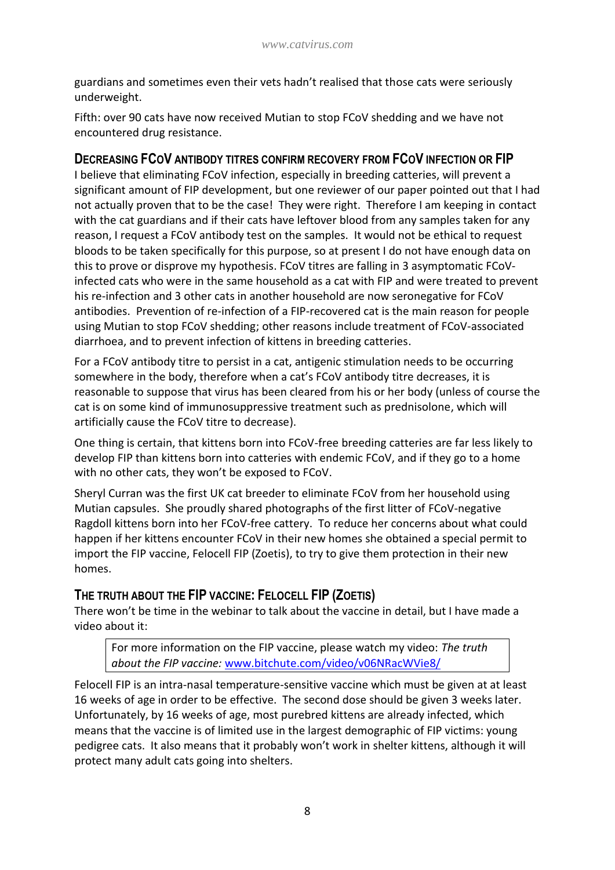guardians and sometimes even their vets hadn't realised that those cats were seriously underweight.

Fifth: over 90 cats have now received Mutian to stop FCoV shedding and we have not encountered drug resistance.

#### **DECREASING FCOV ANTIBODY TITRES CONFIRM RECOVERY FROM FCOV INFECTION OR FIP**

I believe that eliminating FCoV infection, especially in breeding catteries, will prevent a significant amount of FIP development, but one reviewer of our paper pointed out that I had not actually proven that to be the case! They were right. Therefore I am keeping in contact with the cat guardians and if their cats have leftover blood from any samples taken for any reason, I request a FCoV antibody test on the samples. It would not be ethical to request bloods to be taken specifically for this purpose, so at present I do not have enough data on this to prove or disprove my hypothesis. FCoV titres are falling in 3 asymptomatic FCoVinfected cats who were in the same household as a cat with FIP and were treated to prevent his re-infection and 3 other cats in another household are now seronegative for FCoV antibodies. Prevention of re-infection of a FIP-recovered cat is the main reason for people using Mutian to stop FCoV shedding; other reasons include treatment of FCoV-associated diarrhoea, and to prevent infection of kittens in breeding catteries.

For a FCoV antibody titre to persist in a cat, antigenic stimulation needs to be occurring somewhere in the body, therefore when a cat's FCoV antibody titre decreases, it is reasonable to suppose that virus has been cleared from his or her body (unless of course the cat is on some kind of immunosuppressive treatment such as prednisolone, which will artificially cause the FCoV titre to decrease).

One thing is certain, that kittens born into FCoV-free breeding catteries are far less likely to develop FIP than kittens born into catteries with endemic FCoV, and if they go to a home with no other cats, they won't be exposed to FCoV.

Sheryl Curran was the first UK cat breeder to eliminate FCoV from her household using Mutian capsules. She proudly shared photographs of the first litter of FCoV-negative Ragdoll kittens born into her FCoV-free cattery. To reduce her concerns about what could happen if her kittens encounter FCoV in their new homes she obtained a special permit to import the FIP vaccine, Felocell FIP (Zoetis), to try to give them protection in their new homes.

## **THE TRUTH ABOUT THE FIP VACCINE: FELOCELL FIP (ZOETIS)**

There won't be time in the webinar to talk about the vaccine in detail, but I have made a video about it:

For more information on the FIP vaccine, please watch my video: *The truth about the FIP vaccine:* [www.bitchute.com/video/v06NRacWVie8/](http://www.bitchute.com/video/v06NRacWVie8/)

Felocell FIP is an intra-nasal temperature-sensitive vaccine which must be given at at least 16 weeks of age in order to be effective. The second dose should be given 3 weeks later. Unfortunately, by 16 weeks of age, most purebred kittens are already infected, which means that the vaccine is of limited use in the largest demographic of FIP victims: young pedigree cats. It also means that it probably won't work in shelter kittens, although it will protect many adult cats going into shelters.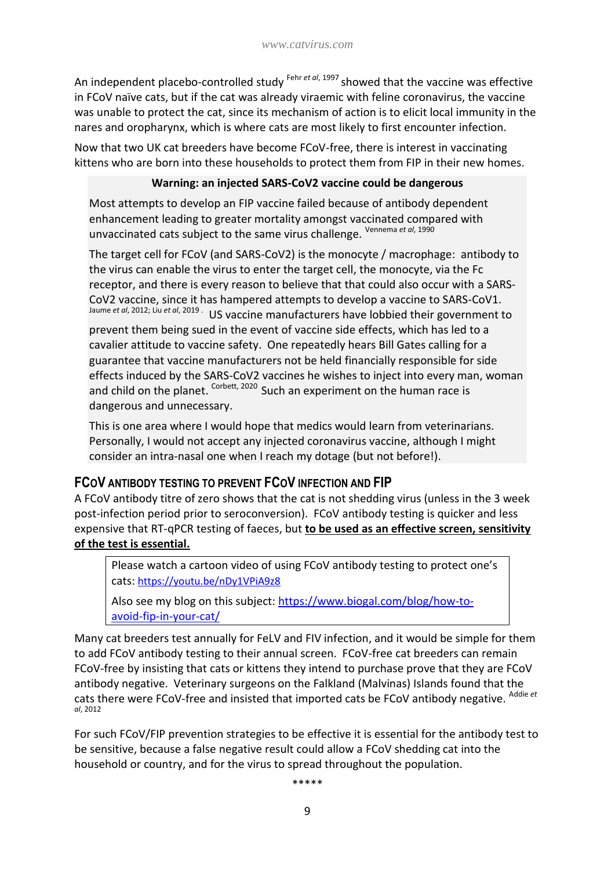An independent placebo-controlled study <sup>Fehr *et al*, 1997</sup> showed that the vaccine was effective in FCoV naïve cats, but if the cat was already viraemic with feline coronavirus, the vaccine was unable to protect the cat, since its mechanism of action is to elicit local immunity in the nares and oropharynx, which is where cats are most likely to first encounter infection.

Now that two UK cat breeders have become FCoV-free, there is interest in vaccinating kittens who are born into these households to protect them from FIP in their new homes.

#### **Warning: an injected SARS-CoV2 vaccine could be dangerous**

Most attempts to develop an FIP vaccine failed because of antibody dependent enhancement leading to greater mortality amongst vaccinated compared with unvaccinated cats subject to the same virus challenge. Vennema *et al*, 1990

The target cell for FCoV (and SARS-CoV2) is the monocyte / macrophage: antibody to the virus can enable the virus to enter the target cell, the monocyte, via the Fc receptor, and there is every reason to believe that that could also occur with a SARS-CoV2 vaccine, since it has hampered attempts to develop a vaccine to SARS-CoV1. Jaume *et al*, 2012; Liu *et al*, 2019 . US vaccine manufacturers have lobbied their government to prevent them being sued in the event of vaccine side effects, which has led to a cavalier attitude to vaccine safety. One repeatedly hears Bill Gates calling for a guarantee that vaccine manufacturers not be held financially responsible for side effects induced by the SARS-CoV2 vaccines he wishes to inject into every man, woman and child on the planet. <sup>Corbett, 2020</sup> Such an experiment on the human race is dangerous and unnecessary.

This is one area where I would hope that medics would learn from veterinarians. Personally, I would not accept any injected coronavirus vaccine, although I might consider an intra-nasal one when I reach my dotage (but not before!).

## **FCOV ANTIBODY TESTING TO PREVENT FCOV INFECTION AND FIP**

A FCoV antibody titre of zero shows that the cat is not shedding virus (unless in the 3 week post-infection period prior to seroconversion). FCoV antibody testing is quicker and less expensive that RT-qPCR testing of faeces, but **to be used as an effective screen, sensitivity of the test is essential.**

Please watch a cartoon video of using FCoV antibody testing to protect one's cats: <https://youtu.be/nDy1VPiA9z8>

Also see my blog on this subject: [https://www.biogal.com/blog/how-to](https://www.biogal.com/blog/how-to-avoid-fip-in-your-cat/)[avoid-fip-in-your-cat/](https://www.biogal.com/blog/how-to-avoid-fip-in-your-cat/)

Many cat breeders test annually for FeLV and FIV infection, and it would be simple for them to add FCoV antibody testing to their annual screen. FCoV-free cat breeders can remain FCoV-free by insisting that cats or kittens they intend to purchase prove that they are FCoV antibody negative. Veterinary surgeons on the Falkland (Malvinas) Islands found that the cats there were FCoV-free and insisted that imported cats be FCoV antibody negative. Addie *et al*, 2012

For such FCoV/FIP prevention strategies to be effective it is essential for the antibody test to be sensitive, because a false negative result could allow a FCoV shedding cat into the household or country, and for the virus to spread throughout the population.

\*\*\*\*\*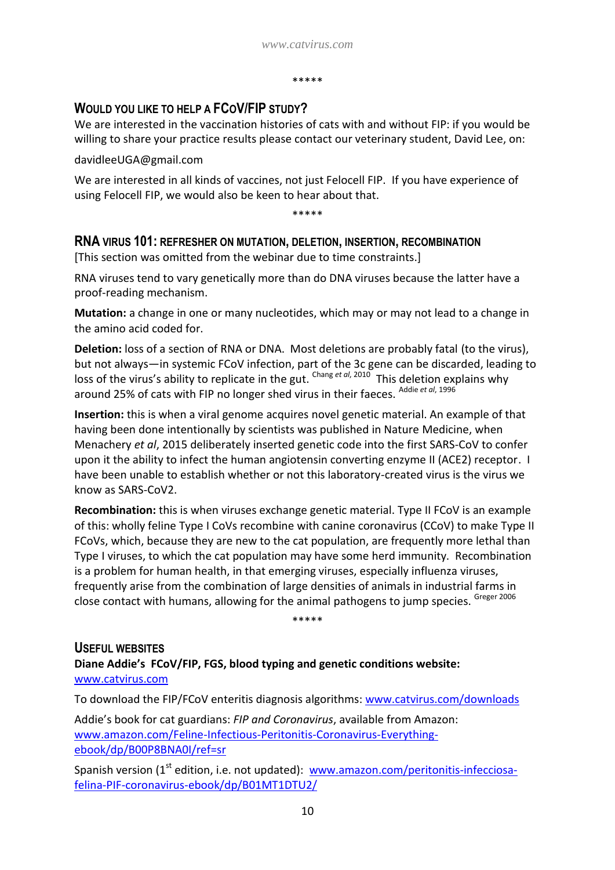#### \*\*\*\*\*

## **WOULD YOU LIKE TO HELP A FCOV/FIP STUDY?**

We are interested in the vaccination histories of cats with and without FIP: if you would be willing to share your practice results please contact our veterinary student, David Lee, on:

davidleeUGA@gmail.com

We are interested in all kinds of vaccines, not just Felocell FIP. If you have experience of using Felocell FIP, we would also be keen to hear about that.

\*\*\*\*\*

#### **RNA VIRUS 101: REFRESHER ON MUTATION, DELETION, INSERTION, RECOMBINATION**

[This section was omitted from the webinar due to time constraints.]

RNA viruses tend to vary genetically more than do DNA viruses because the latter have a proof-reading mechanism.

**Mutation:** a change in one or many nucleotides, which may or may not lead to a change in the amino acid coded for.

**Deletion:** loss of a section of RNA or DNA. Most deletions are probably fatal (to the virus), but not always—in systemic FCoV infection, part of the 3c gene can be discarded, leading to loss of the virus's ability to replicate in the gut. <sup>Chang et al, 2010</sup> This deletion explains why around 25% of cats with FIP no longer shed virus in their faeces. Addie *et al*, 1996

**Insertion:** this is when a viral genome acquires novel genetic material. An example of that having been done intentionally by scientists was published in Nature Medicine, when Menachery *et al*, 2015 deliberately inserted genetic code into the first SARS-CoV to confer upon it the ability to infect the human angiotensin converting enzyme II (ACE2) receptor. I have been unable to establish whether or not this laboratory-created virus is the virus we know as SARS-CoV2.

**Recombination:** this is when viruses exchange genetic material. Type II FCoV is an example of this: wholly feline Type I CoVs recombine with canine coronavirus (CCoV) to make Type II FCoVs, which, because they are new to the cat population, are frequently more lethal than Type I viruses, to which the cat population may have some herd immunity. Recombination is a problem for human health, in that emerging viruses, especially influenza viruses, frequently arise from the combination of large densities of animals in industrial farms in close contact with humans, allowing for the animal pathogens to jump species. Greger 2006

\*\*\*\*\*

**USEFUL WEBSITES Diane Addie's FCoV/FIP, FGS, blood typing and genetic conditions website:**  [www.catvirus.com](http://www.catvirus.com/)

To download the FIP/FCoV enteritis diagnosis algorithms: [www.catvirus.com/downloads](http://www.catvirus.com/downloads)

Addie's book for cat guardians: *FIP and Coronavirus*, available from Amazon: [www.amazon.com/Feline-Infectious-Peritonitis-Coronavirus-Everything](http://www.amazon.com/Feline-Infectious-Peritonitis-Coronavirus-Everything-ebook/dp/B00P8BNA0I/ref=sr)[ebook/dp/B00P8BNA0I/ref=sr](http://www.amazon.com/Feline-Infectious-Peritonitis-Coronavirus-Everything-ebook/dp/B00P8BNA0I/ref=sr)

Spanish version  $(1^{st}$  edition, i.e. not updated): [www.amazon.com/peritonitis-infecciosa](http://www.amazon.com/peritonitis-infecciosa-felina-PIF-coronavirus-ebook/dp/B01MT1DTU2/)[felina-PIF-coronavirus-ebook/dp/B01MT1DTU2/](http://www.amazon.com/peritonitis-infecciosa-felina-PIF-coronavirus-ebook/dp/B01MT1DTU2/)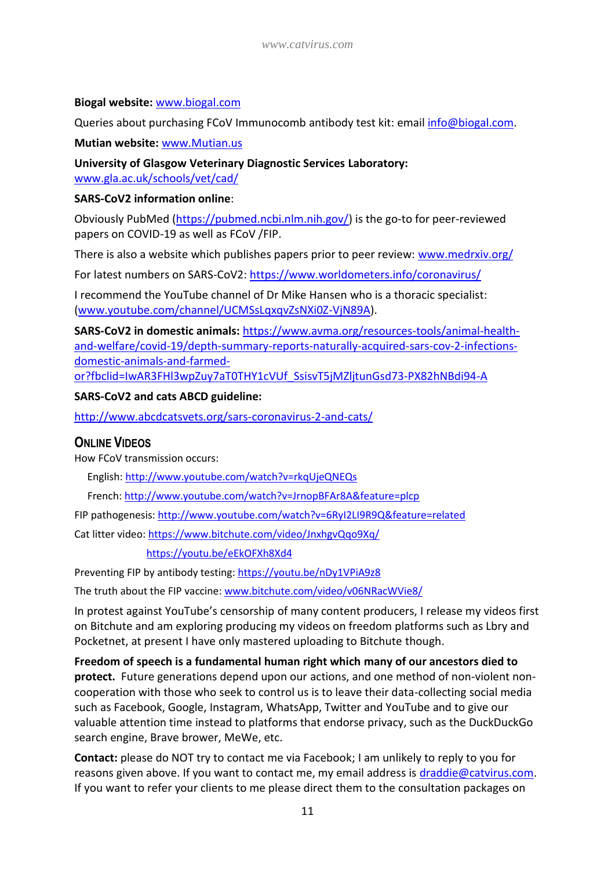#### **Biogal website:** [www.biogal.com](http://www.biogal.com/)

Queries about purchasing FCoV Immunocomb antibody test kit: email [info@biogal.com.](mailto:info@biogal.com)

**Mutian website:** [www.Mutian.us](http://www.mutian.us/)

**University of Glasgow Veterinary Diagnostic Services Laboratory:**  [www.gla.ac.uk/schools/vet/cad/](https://www.gla.ac.uk/schools/vet/cad/)

#### **SARS-CoV2 information online**:

Obviously PubMed [\(https://pubmed.ncbi.nlm.nih.gov/\)](https://pubmed.ncbi.nlm.nih.gov/) is the go-to for peer-reviewed papers on COVID-19 as well as FCoV /FIP.

There is also a website which publishes papers prior to peer review: [www.medrxiv.org/](https://www.medrxiv.org/)

For latest numbers on SARS-CoV2:<https://www.worldometers.info/coronavirus/>

I recommend the YouTube channel of Dr Mike Hansen who is a thoracic specialist: [\(www.youtube.com/channel/UCMSsLqxqvZsNXi0Z-VjN89A\)](http://www.youtube.com/channel/UCMSsLqxqvZsNXi0Z-VjN89A).

**SARS-CoV2 in domestic animals:** [https://www.avma.org/resources-tools/animal-health](https://www.avma.org/resources-tools/animal-health-and-welfare/covid-19/depth-summary-reports-naturally-acquired-sars-cov-2-infections-domestic-animals-and-farmed-or?fbclid=IwAR3FHl3wpZuy7aT0THY1cVUf_SsisvT5jMZljtunGsd73-PX82hNBdi94-A)[and-welfare/covid-19/depth-summary-reports-naturally-acquired-sars-cov-2-infections](https://www.avma.org/resources-tools/animal-health-and-welfare/covid-19/depth-summary-reports-naturally-acquired-sars-cov-2-infections-domestic-animals-and-farmed-or?fbclid=IwAR3FHl3wpZuy7aT0THY1cVUf_SsisvT5jMZljtunGsd73-PX82hNBdi94-A)[domestic-animals-and-farmed](https://www.avma.org/resources-tools/animal-health-and-welfare/covid-19/depth-summary-reports-naturally-acquired-sars-cov-2-infections-domestic-animals-and-farmed-or?fbclid=IwAR3FHl3wpZuy7aT0THY1cVUf_SsisvT5jMZljtunGsd73-PX82hNBdi94-A)[or?fbclid=IwAR3FHl3wpZuy7aT0THY1cVUf\\_SsisvT5jMZljtunGsd73-PX82hNBdi94-A](https://www.avma.org/resources-tools/animal-health-and-welfare/covid-19/depth-summary-reports-naturally-acquired-sars-cov-2-infections-domestic-animals-and-farmed-or?fbclid=IwAR3FHl3wpZuy7aT0THY1cVUf_SsisvT5jMZljtunGsd73-PX82hNBdi94-A)

#### **SARS-CoV2 and cats ABCD guideline:**

<http://www.abcdcatsvets.org/sars-coronavirus-2-and-cats/>

#### **ONLINE VIDEOS**

How FCoV transmission occurs:

English:<http://www.youtube.com/watch?v=rkqUjeQNEQs>

French[: http://www.youtube.com/watch?v=JrnopBFAr8A&feature=plcp](http://www.youtube.com/watch?v=JrnopBFAr8A&feature=plcp)

FIP pathogenesis: <http://www.youtube.com/watch?v=6RyI2LI9R9Q&feature=related>

Cat litter video[: https://www.bitchute.com/video/JnxhgvQqo9Xq/](https://www.bitchute.com/video/JnxhgvQqo9Xq/)

<https://youtu.be/eEkOFXh8Xd4>

Preventing FIP by antibody testing:<https://youtu.be/nDy1VPiA9z8>

The truth about the FIP vaccine: [www.bitchute.com/video/v06NRacWVie8/](http://www.bitchute.com/video/v06NRacWVie8/)

In protest against YouTube's censorship of many content producers, I release my videos first on Bitchute and am exploring producing my videos on freedom platforms such as Lbry and Pocketnet, at present I have only mastered uploading to Bitchute though.

**Freedom of speech is a fundamental human right which many of our ancestors died to protect.** Future generations depend upon our actions, and one method of non-violent noncooperation with those who seek to control us is to leave their data-collecting social media such as Facebook, Google, Instagram, WhatsApp, Twitter and YouTube and to give our valuable attention time instead to platforms that endorse privacy, such as the DuckDuckGo search engine, Brave brower, MeWe, etc.

**Contact:** please do NOT try to contact me via Facebook; I am unlikely to reply to you for reasons given above. If you want to contact me, my email address is [draddie@catvirus.com.](mailto:draddie@catvirus.com) If you want to refer your clients to me please direct them to the consultation packages on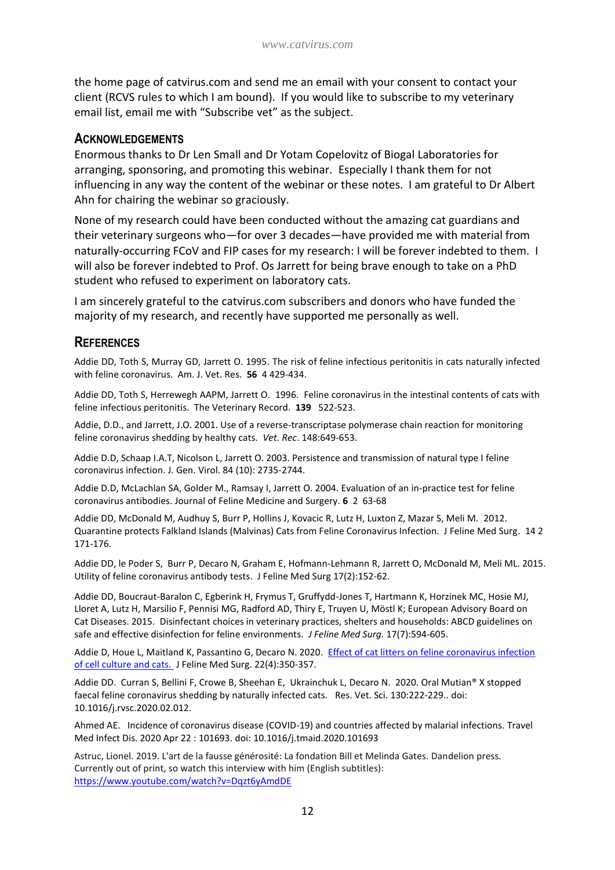the home page of catvirus.com and send me an email with your consent to contact your client (RCVS rules to which I am bound). If you would like to subscribe to my veterinary email list, email me with "Subscribe vet" as the subject.

#### **ACKNOWLEDGEMENTS**

Enormous thanks to Dr Len Small and Dr Yotam Copelovitz of Biogal Laboratories for arranging, sponsoring, and promoting this webinar. Especially I thank them for not influencing in any way the content of the webinar or these notes. I am grateful to Dr Albert Ahn for chairing the webinar so graciously.

None of my research could have been conducted without the amazing cat guardians and their veterinary surgeons who—for over 3 decades—have provided me with material from naturally-occurring FCoV and FIP cases for my research: I will be forever indebted to them. I will also be forever indebted to Prof. Os Jarrett for being brave enough to take on a PhD student who refused to experiment on laboratory cats.

I am sincerely grateful to the catvirus.com subscribers and donors who have funded the majority of my research, and recently have supported me personally as well.

#### **REFERENCES**

Addie DD, Toth S, Murray GD, Jarrett O. 1995. The risk of feline infectious peritonitis in cats naturally infected with feline coronavirus. Am. J. Vet. Res. **56** 4 429-434.

Addie DD, Toth S, Herrewegh AAPM, Jarrett O. 1996. Feline coronavirus in the intestinal contents of cats with feline infectious peritonitis. The Veterinary Record. **139** 522-523.

Addie, D.D., and Jarrett, J.O. 2001. Use of a reverse-transcriptase polymerase chain reaction for monitoring feline coronavirus shedding by healthy cats. *Vet. Rec*. 148:649-653.

Addie D.D, Schaap I.A.T, Nicolson L, Jarrett O. 2003. Persistence and transmission of natural type I feline coronavirus infection. J. Gen. Virol. 84 (10): 2735-2744.

Addie D.D, McLachlan SA, Golder M., Ramsay I, Jarrett O. 2004. Evaluation of an in-practice test for feline coronavirus antibodies. Journal of Feline Medicine and Surgery. **6** 2 63-68

Addie DD, McDonald M, Audhuy S, Burr P, Hollins J, Kovacic R, Lutz H, Luxton Z, Mazar S, Meli M. 2012. Quarantine protects Falkland Islands (Malvinas) Cats from Feline Coronavirus Infection. J Feline Med Surg. 14 2 171-176.

Addie DD, le Poder S, Burr P, Decaro N, Graham E, Hofmann-Lehmann R, Jarrett O, McDonald M, Meli ML. 2015. Utility of feline coronavirus antibody tests. J Feline Med Surg 17(2):152-62.

Addie DD, Boucraut-Baralon C, Egberink H, Frymus T, Gruffydd-Jones T, Hartmann K, Horzinek MC, Hosie MJ, Lloret A, Lutz H, Marsilio F, Pennisi MG, Radford AD, Thiry E, Truyen U, Möstl K; European Advisory Board on Cat Diseases. 2015. Disinfectant choices in veterinary practices, shelters and households: ABCD guidelines on safe and effective disinfection for feline environments. *J Feline Med Surg.* 17(7):594-605.

Addie D, Houe L, Maitland K, Passantino G, Decaro N. 2020. Effect of cat litters on feline coronavirus infection [of cell culture and cats. J](https://journals.sagepub.com/doi/full/10.1177/1098612X19848167) Feline Med Surg. 22(4):350-357.

Addie DD. Curran S, Bellini F, Crowe B, Sheehan E, Ukrainchuk L, Decaro N. 2020. Oral Mutian® X stopped faecal feline coronavirus shedding by naturally infected cats. Res. Vet. Sci. 130:222-229.. doi: 10.1016/j.rvsc.2020.02.012.

Ahmed AE. Incidence of coronavirus disease (COVID-19) and countries affected by malarial infections. Travel Med Infect Dis. 2020 Apr 22 : 101693. doi: 10.1016/j.tmaid.2020.101693

Astruc, Lionel. 2019. L'art de la fausse générosité: La fondation Bill et Melinda Gates. Dandelion press. Currently out of print, so watch this interview with him (English subtitles): <https://www.youtube.com/watch?v=Dqzt6yAmdDE>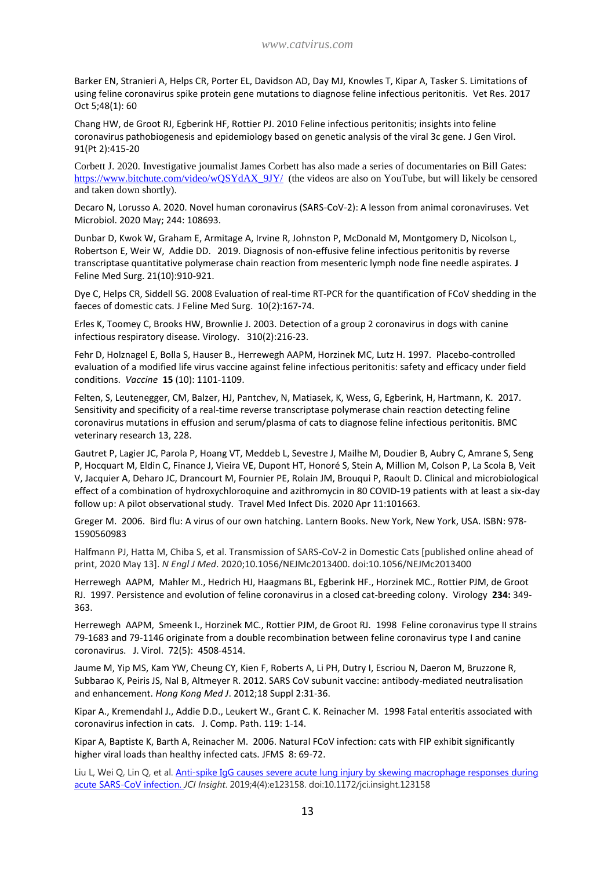Barker EN, Stranieri A, Helps CR, Porter EL, Davidson AD, Day MJ, Knowles T, Kipar A, Tasker S. Limitations of using feline coronavirus spike protein gene mutations to diagnose feline infectious peritonitis. Vet Res. 2017 Oct 5;48(1): 60

Chang HW, de Groot RJ, Egberink HF, Rottier PJ. 2010 Feline infectious peritonitis; insights into feline coronavirus pathobiogenesis and epidemiology based on genetic analysis of the viral 3c gene. J Gen Virol. 91(Pt 2):415-20

Corbett J. 2020. Investigative journalist James Corbett has also made a series of documentaries on Bill Gates: [https://www.bitchute.com/video/wQSYdAX\\_9JY/](https://www.bitchute.com/video/wQSYdAX_9JY/) (the videos are also on YouTube, but will likely be censored and taken down shortly).

Decaro N, Lorusso A. 2020. Novel human coronavirus (SARS-CoV-2): A lesson from animal coronaviruses. Vet Microbiol. 2020 May; 244: 108693.

Dunbar D, Kwok W, Graham E, Armitage A, Irvine R, Johnston P, McDonald M, Montgomery D, Nicolson L, Robertson E, Weir W, Addie DD. 2019. Diagnosis of non-effusive feline infectious peritonitis by reverse transcriptase quantitative polymerase chain reaction from mesenteric lymph node fine needle aspirates. **J**  Feline Med Surg. 21(10):910-921.

Dye C, Helps CR, Siddell SG. 2008 Evaluation of real-time RT-PCR for the quantification of FCoV shedding in the faeces of domestic cats. J Feline Med Surg. 10(2):167-74.

Erles K, Toomey C, Brooks HW, Brownlie J. 2003. Detection of a group 2 coronavirus in dogs with canine infectious respiratory disease. Virology. 310(2):216-23.

Fehr D, Holznagel E, Bolla S, Hauser B., Herrewegh AAPM, Horzinek MC, Lutz H. 1997. Placebo-controlled evaluation of a modified life virus vaccine against feline infectious peritonitis: safety and efficacy under field conditions. *Vaccine* **15** (10): 1101-1109.

Felten, S, Leutenegger, CM, Balzer, HJ, Pantchev, N, Matiasek, K, Wess, G, Egberink, H, Hartmann, K. 2017. Sensitivity and specificity of a real-time reverse transcriptase polymerase chain reaction detecting feline coronavirus mutations in effusion and serum/plasma of cats to diagnose feline infectious peritonitis. BMC veterinary research 13, 228.

Gautret P, Lagier JC, Parola P, Hoang VT, Meddeb L, Sevestre J, Mailhe M, Doudier B, Aubry C, Amrane S, Seng P, Hocquart M, Eldin C, Finance J, Vieira VE, Dupont HT, Honoré S, Stein A, Million M, Colson P, La Scola B, Veit V, Jacquier A, Deharo JC, Drancourt M, Fournier PE, Rolain JM, Brouqui P, Raoult D. Clinical and microbiological effect of a combination of hydroxychloroquine and azithromycin in 80 COVID-19 patients with at least a six-day follow up: A pilot observational study. Travel Med Infect Dis. 2020 Apr 11:101663.

Greger M. 2006. Bird flu: A virus of our own hatching. Lantern Books. New York, New York, USA. ISBN: 978- 1590560983

Halfmann PJ, Hatta M, Chiba S, et al. Transmission of SARS-CoV-2 in Domestic Cats [published online ahead of print, 2020 May 13]. *N Engl J Med*. 2020;10.1056/NEJMc2013400. doi:10.1056/NEJMc2013400

Herrewegh AAPM, Mahler M., Hedrich HJ, Haagmans BL, Egberink HF., Horzinek MC., Rottier PJM, de Groot RJ. 1997. Persistence and evolution of feline coronavirus in a closed cat-breeding colony. Virology **234:** 349- 363.

Herrewegh AAPM, Smeenk I., Horzinek MC., Rottier PJM, de Groot RJ. 1998 Feline coronavirus type II strains 79-1683 and 79-1146 originate from a double recombination between feline coronavirus type I and canine coronavirus. J. Virol. 72(5): 4508-4514.

Jaume M, Yip MS, Kam YW, Cheung CY, Kien F, Roberts A, Li PH, Dutry I, Escriou N, Daeron M, Bruzzone R, Subbarao K, Peiris JS, Nal B, Altmeyer R. 2012. SARS CoV subunit vaccine: antibody-mediated neutralisation and enhancement. *Hong Kong Med J*. 2012;18 Suppl 2:31‐36.

Kipar A., Kremendahl J., Addie D.D., Leukert W., Grant C. K. Reinacher M. 1998 Fatal enteritis associated with coronavirus infection in cats. J. Comp. Path. 119: 1-14.

Kipar A, Baptiste K, Barth A, Reinacher M. 2006. Natural FCoV infection: cats with FIP exhibit significantly higher viral loads than healthy infected cats. JFMS 8: 69-72.

Liu L, Wei Q, Lin Q, et al. Anti-spike IgG causes severe acute lung injury by skewing macrophage responses during [acute SARS-CoV infection.](https://www.ncbi.nlm.nih.gov/pmc/articles/PMC6478436/) *JCI Insight*. 2019;4(4):e123158. doi:10.1172/jci.insight.123158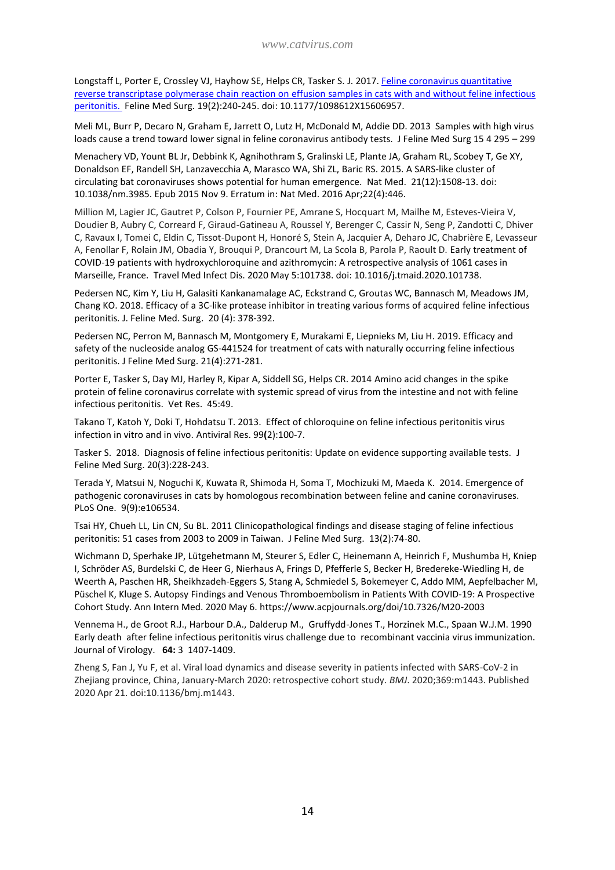Longstaff L, Porter E, Crossley VJ, Hayhow SE, Helps CR, Tasker S. J. 2017. Feline [coronavirus quantitative](https://pubmed.ncbi.nlm.nih.gov/26474594/?from_term=effusion+feline+infectious+peritonitis&from_page=2&from_pos=1)  [reverse transcriptase polymerase chain reaction on effusion](https://pubmed.ncbi.nlm.nih.gov/26474594/?from_term=effusion+feline+infectious+peritonitis&from_page=2&from_pos=1) samples in cats with and without feline infectious [peritonitis. F](https://pubmed.ncbi.nlm.nih.gov/26474594/?from_term=effusion+feline+infectious+peritonitis&from_page=2&from_pos=1)eline Med Surg. 19(2):240-245. doi: 10.1177/1098612X15606957.

Meli ML, Burr P, Decaro N, Graham E, Jarrett O, Lutz H, McDonald M, Addie DD. 2013 Samples with high virus loads cause a trend toward lower signal in feline coronavirus antibody tests. J Feline Med Surg 15 4 295 – 299

Menachery VD, Yount BL Jr, Debbink K, Agnihothram S, Gralinski LE, Plante JA, Graham RL, Scobey T, Ge XY, Donaldson EF, Randell SH, Lanzavecchia A, Marasco WA, Shi ZL, Baric RS. 2015. A SARS-like cluster of circulating bat coronaviruses shows potential for human emergence. Nat Med. 21(12):1508-13. doi: 10.1038/nm.3985. Epub 2015 Nov 9. Erratum in: Nat Med. 2016 Apr;22(4):446.

Million M, Lagier JC, Gautret P, Colson P, Fournier PE, Amrane S, Hocquart M, Mailhe M, Esteves-Vieira V, Doudier B, Aubry C, Correard F, Giraud-Gatineau A, Roussel Y, Berenger C, Cassir N, Seng P, Zandotti C, Dhiver C, Ravaux I, Tomei C, Eldin C, Tissot-Dupont H, Honoré S, Stein A, Jacquier A, Deharo JC, Chabrière E, Levasseur A, Fenollar F, Rolain JM, Obadia Y, Brouqui P, Drancourt M, La Scola B, Parola P, Raoult D. Early treatment of COVID-19 patients with hydroxychloroquine and azithromycin: A retrospective analysis of 1061 cases in Marseille, France. Travel Med Infect Dis. 2020 May 5:101738. doi: 10.1016/j.tmaid.2020.101738.

Pedersen NC, Kim Y, Liu H, Galasiti Kankanamalage AC, Eckstrand C, Groutas WC, Bannasch M, Meadows JM, Chang KO. 2018. Efficacy of a 3C-like protease inhibitor in treating various forms of acquired feline infectious peritonitis*.* J. Feline Med. Surg. 20 (4): 378-392.

Pedersen NC, Perron M, Bannasch M, Montgomery E, Murakami E, Liepnieks M, Liu H. 2019. Efficacy and safety of the nucleoside analog GS-441524 for treatment of cats with naturally occurring feline infectious peritonitis. J Feline Med Surg. 21(4):271-281.

Porter E, Tasker S, Day MJ, Harley R, Kipar A, Siddell SG, Helps CR. 2014 Amino acid changes in the spike protein of feline coronavirus correlate with systemic spread of virus from the intestine and not with feline infectious peritonitis. Vet Res. 45:49.

Takano T, Katoh Y, Doki T, Hohdatsu T. 2013. Effect of chloroquine on feline infectious peritonitis virus infection in vitro and in vivo. Antiviral Res. 99**(**2):100-7.

Tasker S. 2018. Diagnosis of feline infectious peritonitis: Update on evidence supporting available tests. J Feline Med Surg. 20(3):228-243.

Terada Y, Matsui N, Noguchi K, Kuwata R, Shimoda H, Soma T, Mochizuki M, Maeda K. 2014. Emergence of pathogenic coronaviruses in cats by homologous recombination between feline and canine coronaviruses. PLoS One. 9(9):e106534.

Tsai HY, Chueh LL, Lin CN, Su BL. 2011 [Clinicopathological findings and disease staging of feline infectious](http://www.ncbi.nlm.nih.gov/pubmed/21216644)  peritonitis: 51 [cases from 2003 to 2009 in Taiwan.](http://www.ncbi.nlm.nih.gov/pubmed/21216644) J Feline Med Surg. 13(2):74-80.

Wichmann D, Sperhake JP, Lütgehetmann M, Steurer S, Edler C, Heinemann A, Heinrich F, Mushumba H, Kniep I, Schröder AS, Burdelski C, de Heer G, Nierhaus A, Frings D, Pfefferle S, Becker H, Bredereke-Wiedling H, de Weerth A, Paschen HR, Sheikhzadeh-Eggers S, Stang A, Schmiedel S, Bokemeyer C, Addo MM, Aepfelbacher M, Püschel K, Kluge S. Autopsy Findings and Venous Thromboembolism in Patients With COVID-19: A Prospective Cohort Study. Ann Intern Med. 2020 May 6. https://www.acpjournals.org/doi/10.7326/M20-2003

Vennema H., de Groot R.J., Harbour D.A., Dalderup M., Gruffydd-Jones T., Horzinek M.C., Spaan W.J.M. 1990 Early death after feline infectious peritonitis virus challenge due to recombinant vaccinia virus immunization. Journal of Virology. **64:** 3 1407-1409.

Zheng S, Fan J, Yu F, et al. Viral load dynamics and disease severity in patients infected with SARS-CoV-2 in Zhejiang province, China, January-March 2020: retrospective cohort study. *BMJ*. 2020;369:m1443. Published 2020 Apr 21. doi:10.1136/bmj.m1443.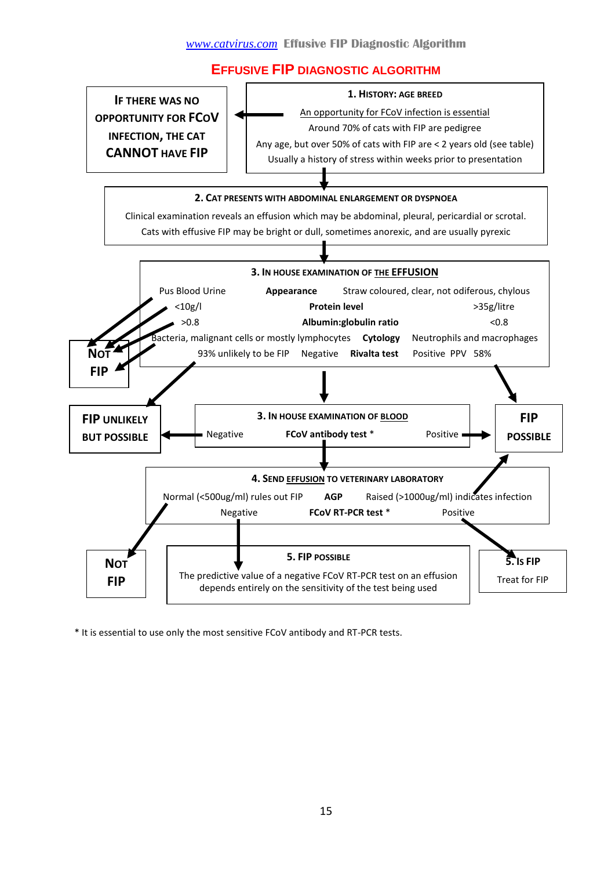#### **EFFUSIVE FIP DIAGNOSTIC ALGORITHM**



\* It is essential to use only the most sensitive FCoV antibody and RT-PCR tests.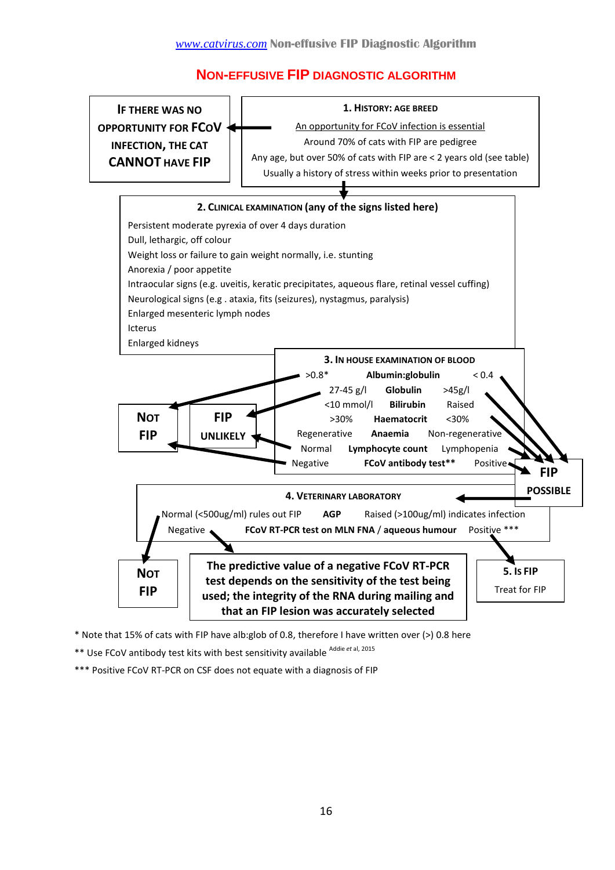## **NON-EFFUSIVE FIP DIAGNOSTIC ALGORITHM**



\* Note that 15% of cats with FIP have alb:glob of 0.8, therefore I have written over (>) 0.8 here

\*\* Use FCoV antibody test kits with best sensitivity available <sup>Addie et al, 2015</sup>

\*\*\* Positive FCoV RT-PCR on CSF does not equate with a diagnosis of FIP